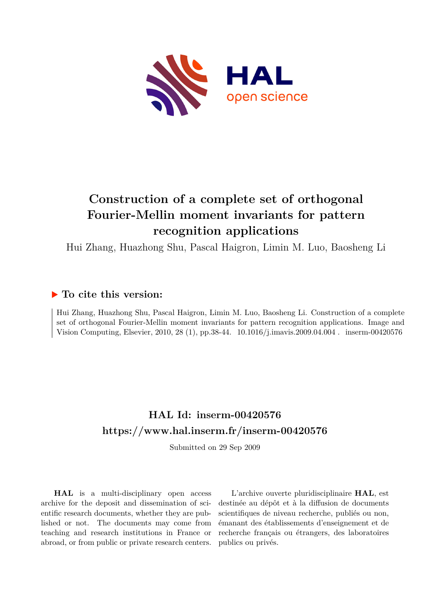

# **Construction of a complete set of orthogonal Fourier-Mellin moment invariants for pattern recognition applications**

Hui Zhang, Huazhong Shu, Pascal Haigron, Limin M. Luo, Baosheng Li

# **To cite this version:**

Hui Zhang, Huazhong Shu, Pascal Haigron, Limin M. Luo, Baosheng Li. Construction of a complete set of orthogonal Fourier-Mellin moment invariants for pattern recognition applications. Image and Vision Computing, Elsevier, 2010, 28 (1), pp.38-44.  $10.1016/j.$ imavis.2009.04.004. inserm-00420576

# **HAL Id: inserm-00420576 <https://www.hal.inserm.fr/inserm-00420576>**

Submitted on 29 Sep 2009

**HAL** is a multi-disciplinary open access archive for the deposit and dissemination of scientific research documents, whether they are published or not. The documents may come from teaching and research institutions in France or abroad, or from public or private research centers.

L'archive ouverte pluridisciplinaire **HAL**, est destinée au dépôt et à la diffusion de documents scientifiques de niveau recherche, publiés ou non, émanant des établissements d'enseignement et de recherche français ou étrangers, des laboratoires publics ou privés.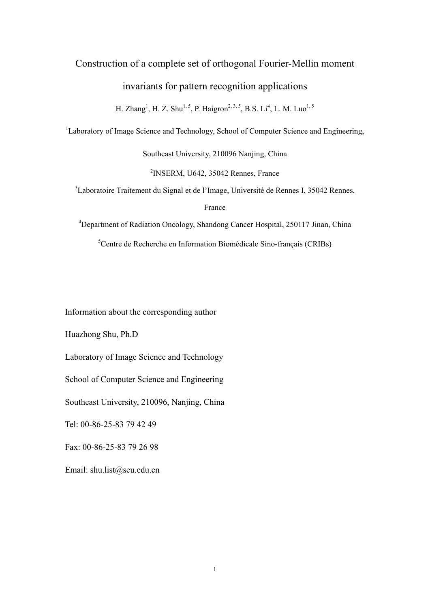## Construction of a complete set of orthogonal Fourier-Mellin moment

## invariants for pattern recognition applications

H. Zhang<sup>1</sup>, H. Z. Shu<sup>1, 5</sup>, P. Haigron<sup>2, 3, 5</sup>, B.S. Li<sup>4</sup>, L. M. Luo<sup>1, 5</sup>

<sup>1</sup>Laboratory of Image Science and Technology, School of Computer Science and Engineering,

Southeast University, 210096 Nanjing, China

2 INSERM, U642, 35042 Rennes, France

<sup>3</sup>Laboratoire Traitement du Signal et de l'Image, Université de Rennes I, 35042 Rennes,

France

<sup>4</sup>Department of Radiation Oncology, Shandong Cancer Hospital, 250117 Jinan, China

5 Centre de Recherche en Information Biomédicale Sino-français (CRIBs)

Information about the corresponding author

Huazhong Shu, Ph.D

Laboratory of Image Science and Technology

School of Computer Science and Engineering

Southeast University, 210096, Nanjing, China

Tel: 00-86-25-83 79 42 49

Fax: 00-86-25-83 79 26 98

Email: shu.list@seu.edu.cn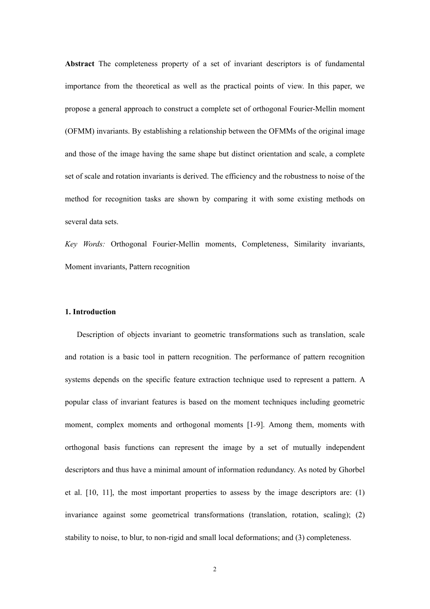**Abstract** The completeness property of a set of invariant descriptors is of fundamental importance from the theoretical as well as the practical points of view. In this paper, we propose a general approach to construct a complete set of orthogonal Fourier-Mellin moment (OFMM) invariants. By establishing a relationship between the OFMMs of the original image and those of the image having the same shape but distinct orientation and scale, a complete set of scale and rotation invariants is derived. The efficiency and the robustness to noise of the method for recognition tasks are shown by comparing it with some existing methods on several data sets.

*Key Words:* Orthogonal Fourier-Mellin moments, Completeness, Similarity invariants, Moment invariants, Pattern recognition

## **1. Introduction**

Description of objects invariant to geometric transformations such as translation, scale and rotation is a basic tool in pattern recognition. The performance of pattern recognition systems depends on the specific feature extraction technique used to represent a pattern. A popular class of invariant features is based on the moment techniques including geometric moment, complex moments and orthogonal moments [1-9]. Among them, moments with orthogonal basis functions can represent the image by a set of mutually independent descriptors and thus have a minimal amount of information redundancy. As noted by Ghorbel et al. [10, 11], the most important properties to assess by the image descriptors are: (1) invariance against some geometrical transformations (translation, rotation, scaling); (2) stability to noise, to blur, to non-rigid and small local deformations; and (3) completeness.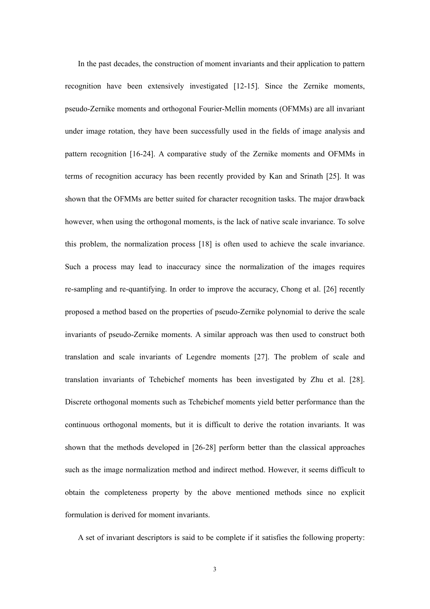In the past decades, the construction of moment invariants and their application to pattern recognition have been extensively investigated [12-15]. Since the Zernike moments, pseudo-Zernike moments and orthogonal Fourier-Mellin moments (OFMMs) are all invariant under image rotation, they have been successfully used in the fields of image analysis and pattern recognition [16-24]. A comparative study of the Zernike moments and OFMMs in terms of recognition accuracy has been recently provided by Kan and Srinath [25]. It was shown that the OFMMs are better suited for character recognition tasks. The major drawback however, when using the orthogonal moments, is the lack of native scale invariance. To solve this problem, the normalization process [18] is often used to achieve the scale invariance. Such a process may lead to inaccuracy since the normalization of the images requires re-sampling and re-quantifying. In order to improve the accuracy, Chong et al. [26] recently proposed a method based on the properties of pseudo-Zernike polynomial to derive the scale invariants of pseudo-Zernike moments. A similar approach was then used to construct both translation and scale invariants of Legendre moments [27]. The problem of scale and translation invariants of Tchebichef moments has been investigated by Zhu et al. [28]. Discrete orthogonal moments such as Tchebichef moments yield better performance than the continuous orthogonal moments, but it is difficult to derive the rotation invariants. It was shown that the methods developed in [26-28] perform better than the classical approaches such as the image normalization method and indirect method. However, it seems difficult to obtain the completeness property by the above mentioned methods since no explicit formulation is derived for moment invariants.

A set of invariant descriptors is said to be complete if it satisfies the following property: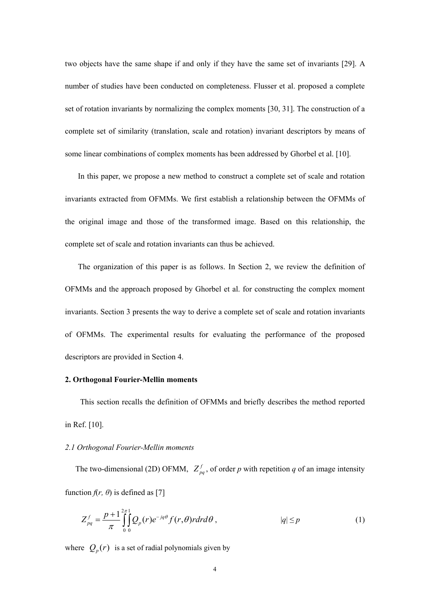two objects have the same shape if and only if they have the same set of invariants [29]. A number of studies have been conducted on completeness. Flusser et al. proposed a complete set of rotation invariants by normalizing the complex moments [30, 31]. The construction of a complete set of similarity (translation, scale and rotation) invariant descriptors by means of some linear combinations of complex moments has been addressed by Ghorbel et al. [10].

In this paper, we propose a new method to construct a complete set of scale and rotation invariants extracted from OFMMs. We first establish a relationship between the OFMMs of the original image and those of the transformed image. Based on this relationship, the complete set of scale and rotation invariants can thus be achieved.

The organization of this paper is as follows. In Section 2, we review the definition of OFMMs and the approach proposed by Ghorbel et al. for constructing the complex moment invariants. Section 3 presents the way to derive a complete set of scale and rotation invariants of OFMMs. The experimental results for evaluating the performance of the proposed descriptors are provided in Section 4.

#### **2. Orthogonal Fourier-Mellin moments**

This section recalls the definition of OFMMs and briefly describes the method reported in Ref. [10].

### *2.1 Orthogonal Fourier-Mellin moments*

The two-dimensional (2D) OFMM,  $Z_{pq}^f$ , of order *p* with repetition *q* of an image intensity function  $f(r, \theta)$  is defined as [7]

$$
Z_{pq}^f = \frac{p+1}{\pi} \int_0^{2\pi} \int_0^1 Q_p(r) e^{-jq\theta} f(r,\theta) r dr d\theta, \qquad |q| \le p \qquad (1)
$$

where  $Q_p(r)$  is a set of radial polynomials given by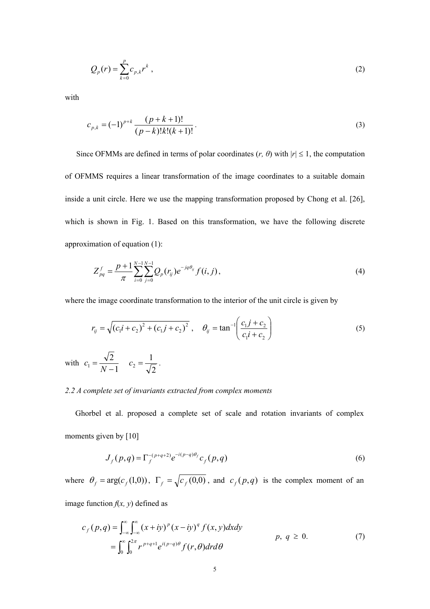$$
Q_p(r) = \sum_{k=0}^{p} c_{p,k} r^k , \qquad (2)
$$

with

$$
c_{p,k} = (-1)^{p+k} \frac{(p+k+1)!}{(p-k)!k!(k+1)!}.
$$
\n(3)

Since OFMMs are defined in terms of polar coordinates  $(r, \theta)$  with  $|r| \leq 1$ , the computation of OFMMS requires a linear transformation of the image coordinates to a suitable domain inside a unit circle. Here we use the mapping transformation proposed by Chong et al. [26], which is shown in Fig. 1. Based on this transformation, we have the following discrete approximation of equation (1):

$$
Z_{pq}^{f} = \frac{p+1}{\pi} \sum_{i=0}^{N-1} \sum_{j=0}^{N-1} Q_{p}(r_{ij}) e^{-jq\theta_{ij}} f(i,j), \qquad (4)
$$

where the image coordinate transformation to the interior of the unit circle is given by

$$
r_{ij} = \sqrt{(c_1 i + c_2)^2 + (c_1 j + c_2)^2}, \quad \theta_{ij} = \tan^{-1} \left( \frac{c_1 j + c_2}{c_1 i + c_2} \right)
$$
  
with  $c_1 = \frac{\sqrt{2}}{N - 1}$   $c_2 = \frac{1}{\sqrt{2}}$ . (5)

#### *2.2 A complete set of invariants extracted from complex moments*

Ghorbel et al. proposed a complete set of scale and rotation invariants of complex moments given by [10]

$$
J_f(p,q) = \Gamma_f^{-(p+q+2)} e^{-i(p-q)\theta_f} c_f(p,q)
$$
 (6)

where  $\theta_f = \arg(c_f(1,0))$ ,  $\Gamma_f = \sqrt{c_f(0,0)}$ , and  $c_f(p,q)$  is the complex moment of an image function  $f(x, y)$  defined as

$$
c_f(p,q) = \int_{-\infty}^{\infty} \int_{-\infty}^{\infty} (x+iy)^p (x-iy)^q f(x,y) dxdy
$$
  
= 
$$
\int_{0}^{\infty} \int_{0}^{2\pi} r^{p+q+1} e^{i(p-q)\theta} f(r,\theta) dr d\theta
$$
 (7)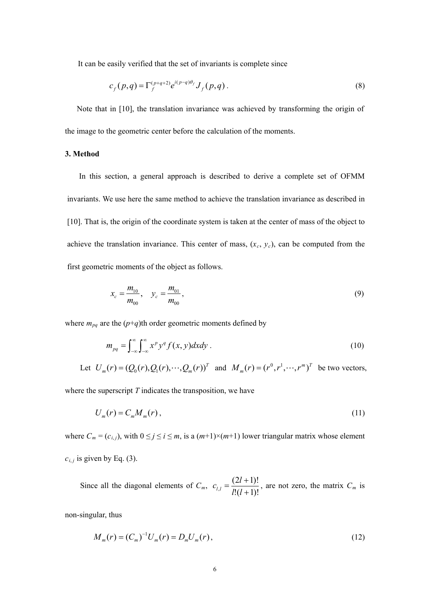It can be easily verified that the set of invariants is complete since

$$
c_f(p,q) = \Gamma_f^{(p+q+2)} e^{i(p-q)\theta_f} J_f(p,q) \,. \tag{8}
$$

Note that in [10], the translation invariance was achieved by transforming the origin of the image to the geometric center before the calculation of the moments.

#### **3. Method**

In this section, a general approach is described to derive a complete set of OFMM invariants. We use here the same method to achieve the translation invariance as described in [10]. That is, the origin of the coordinate system is taken at the center of mass of the object to achieve the translation invariance. This center of mass,  $(x_c, y_c)$ , can be computed from the first geometric moments of the object as follows.

$$
x_c = \frac{m_{10}}{m_{00}}, \quad y_c = \frac{m_{01}}{m_{00}}, \tag{9}
$$

where  $m_{pq}$  are the  $(p+q)$ th order geometric moments defined by

$$
m_{pq} = \int_{-\infty}^{\infty} \int_{-\infty}^{\infty} x^p y^q f(x, y) dx dy
$$
 (10)

Let  $U_m(r) = (Q_0(r), Q_1(r), \dots, Q_m(r))^T$  and  $M_m(r) = (r^0, r^1, \dots, r^m)^T$  be two vectors,

where the superscript  $T$  indicates the transposition, we have

$$
U_m(r) = C_m M_m(r),\tag{11}
$$

where  $C_m = (c_{i,j})$ , with  $0 \le j \le i \le m$ , is a  $(m+1) \times (m+1)$  lower triangular matrix whose element  $c_{i,j}$  is given by Eq. (3).

Since all the diagonal elements of  $C_m$ ,  $c_{l,l} = \frac{(2l+1)!}{l!(l+1)!}$  $(2l + 1)!$  $c_{l,l} = \frac{(2l+1)!}{l!(l+1)!}$ , are not zero, the matrix  $C_m$  is

non-singular, thus

$$
M_m(r) = (C_m)^{-1} U_m(r) = D_m U_m(r), \qquad (12)
$$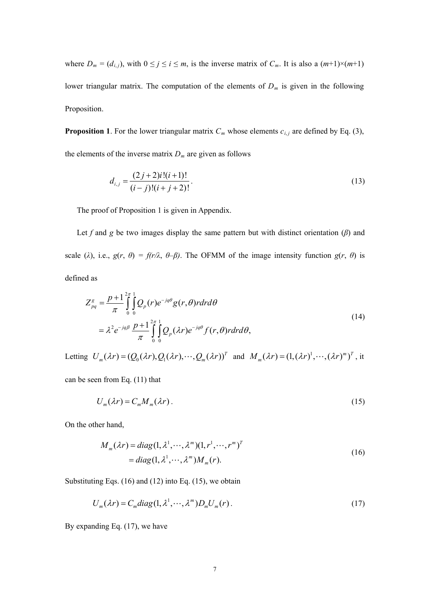where  $D_m = (d_{i,j})$ , with  $0 \le j \le i \le m$ , is the inverse matrix of  $C_m$ . It is also a  $(m+1) \times (m+1)$ lower triangular matrix. The computation of the elements of *Dm* is given in the following Proposition.

**Proposition 1**. For the lower triangular matrix  $C_m$  whose elements  $c_{i,j}$  are defined by Eq. (3), the elements of the inverse matrix  $D_m$  are given as follows

$$
d_{i,j} = \frac{(2j+2)i!(i+1)!}{(i-j)!(i+j+2)!}.
$$
\n(13)

The proof of Proposition 1 is given in Appendix.

Let *f* and *g* be two images display the same pattern but with distinct orientation  $(\beta)$  and scale ( $\lambda$ ), i.e.,  $g(r, \theta) = f(r\lambda, \theta - \beta)$ . The OFMM of the image intensity function  $g(r, \theta)$  is defined as

$$
Z_{pq}^{g} = \frac{p+1}{\pi} \int_{0}^{2\pi} \int_{0}^{1} Q_{p}(r)e^{-jq\theta}g(r,\theta) r dr d\theta
$$
  
=  $\lambda^{2} e^{-jq\beta} \frac{p+1}{\pi} \int_{0}^{2\pi} \int_{0}^{1} Q_{p}(\lambda r)e^{-jq\theta} f(r,\theta) r dr d\theta,$  (14)

Letting  $U_m(\lambda r) = (Q_0(\lambda r), Q_1(\lambda r), \dots, Q_m(\lambda r))^T$  and  $M_m(\lambda r) = (1, (\lambda r)^1, \dots, (\lambda r)^m)^T$ , it

can be seen from Eq. (11) that

$$
U_m(\lambda r) = C_m M_m(\lambda r). \tag{15}
$$

On the other hand,

$$
M_m(\lambda r) = diag(1, \lambda^1, \cdots, \lambda^m)(1, r^1, \cdots, r^m)^T
$$
  
= diag(1, \lambda^1, \cdots, \lambda^m)M\_m(r). (16)

Substituting Eqs. (16) and (12) into Eq. (15), we obtain

$$
U_m(\lambda r) = C_m \text{diag}(1, \lambda^1, \cdots, \lambda^m) D_m U_m(r). \tag{17}
$$

By expanding Eq. (17), we have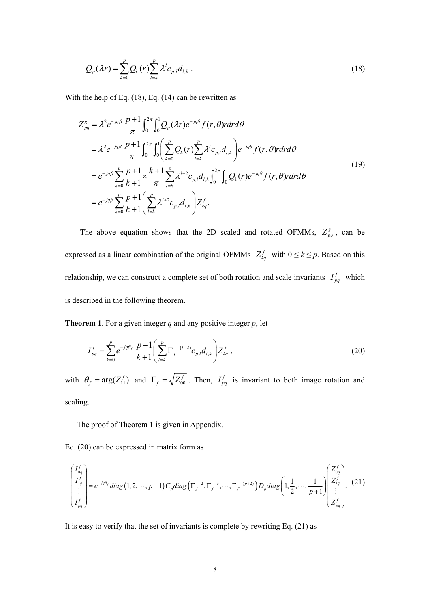$$
Q_p(\lambda r) = \sum_{k=0}^p Q_k(r) \sum_{l=k}^p \lambda^l c_{p,l} d_{l,k} \tag{18}
$$

With the help of Eq. (18), Eq. (14) can be rewritten as

$$
Z_{pq}^{g} = \lambda^{2} e^{-jq\beta} \frac{p+1}{\pi} \int_{0}^{2\pi} \int_{0}^{1} Q_{p}(\lambda r) e^{-jq\theta} f(r, \theta) r dr d\theta
$$
  
\n
$$
= \lambda^{2} e^{-jq\beta} \frac{p+1}{\pi} \int_{0}^{2\pi} \int_{0}^{1} \left( \sum_{k=0}^{p} Q_{k}(r) \sum_{l=k}^{p} \lambda^{l} c_{p,l} d_{l,k} \right) e^{-jq\theta} f(r, \theta) r dr d\theta
$$
  
\n
$$
= e^{-jq\beta} \sum_{k=0}^{p} \frac{p+1}{k+1} \times \frac{k+1}{\pi} \sum_{l=k}^{p} \lambda^{l+2} c_{p,l} d_{l,k} \int_{0}^{2\pi} \int_{0}^{1} Q_{k}(r) e^{-jq\theta} f(r, \theta) r dr d\theta
$$
  
\n
$$
= e^{-jq\beta} \sum_{k=0}^{p} \frac{p+1}{k+1} \left( \sum_{l=k}^{p} \lambda^{l+2} c_{p,l} d_{l,k} \right) Z_{kq}^{f}.
$$
  
\n(19)

The above equation shows that the 2D scaled and rotated OFMMs,  $Z_{pq}^g$ , can be expressed as a linear combination of the original OFMMs  $Z_{kq}^f$  with  $0 \le k \le p$ . Based on this relationship, we can construct a complete set of both rotation and scale invariants  $I_{pq}^f$  which is described in the following theorem.

**Theorem 1**. For a given integer *q* and any positive integer *p*, let

$$
I_{pq}^f = \sum_{k=0}^p e^{-jq\theta_f} \frac{p+1}{k+1} \left( \sum_{l=k}^p \Gamma_j^{-(l+2)} c_{p,l} d_{l,k} \right) Z_{kq}^f , \qquad (20)
$$

with  $\theta_f = \arg(Z_{11}^f)$  and  $\Gamma_f = \sqrt{Z_{00}^f}$ . Then,  $I_{pq}^f$  is invariant to both image rotation and scaling.

The proof of Theorem 1 is given in Appendix.

Eq. (20) can be expressed in matrix form as

$$
\begin{pmatrix} I_{0q}^f \\ I_{1q}^f \\ \vdots \\ I_{pq}^f \end{pmatrix} = e^{-jq\theta_f} diag(1, 2, \cdots, p+1) C_p diag\left(\Gamma_f^{-2}, \Gamma_f^{-3}, \cdots, \Gamma_f^{-(p+2)}\right) D_p diag\left(1, \frac{1}{2}, \cdots, \frac{1}{p+1}\right) \begin{pmatrix} Z_{0q}^f \\ Z_{1q}^f \\ \vdots \\ Z_{pq}^f \end{pmatrix}.
$$
 (21)

It is easy to verify that the set of invariants is complete by rewriting Eq. (21) as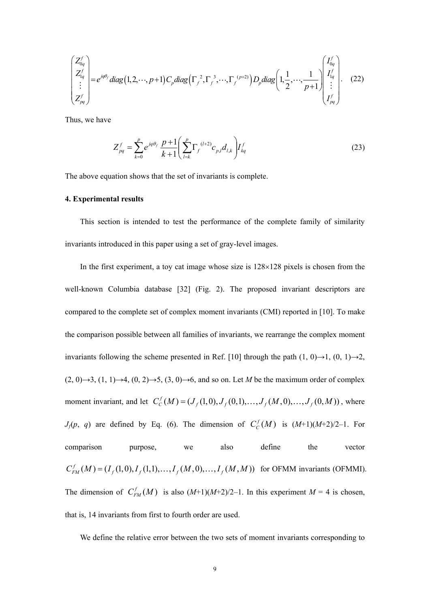$$
\begin{pmatrix} Z_{0q}^f \ Z_{1q}^f \ \vdots \ Z_{pq}^f \end{pmatrix} = e^{jq\theta_f} diag(1, 2, \cdots, p+1) C_p diag\Big(\Gamma_f^{-2}, \Gamma_f^{-3}, \cdots, \Gamma_f^{(p+2)}\Big) D_p diag\Big(1, \frac{1}{2}, \cdots, \frac{1}{p+1} \Big) \begin{pmatrix} I_{0q}^f \ I_{1q}^f \ \vdots \ I_{pq}^f \end{pmatrix} . \tag{22}
$$

Thus, we have

$$
Z_{pq}^f = \sum_{k=0}^p e^{jq\theta_f} \frac{p+1}{k+1} \left( \sum_{l=k}^p \Gamma_j^{(l+2)} c_{p,l} d_{l,k} \right) I_{kq}^f \tag{23}
$$

The above equation shows that the set of invariants is complete.

#### **4. Experimental results**

This section is intended to test the performance of the complete family of similarity invariants introduced in this paper using a set of gray-level images.

In the first experiment, a toy cat image whose size is  $128\times128$  pixels is chosen from the well-known Columbia database [32] (Fig. 2). The proposed invariant descriptors are compared to the complete set of complex moment invariants (CMI) reported in [10]. To make the comparison possible between all families of invariants, we rearrange the complex moment invariants following the scheme presented in Ref. [10] through the path  $(1, 0) \rightarrow 1$ ,  $(0, 1) \rightarrow 2$ ,  $(2, 0) \rightarrow 3$ ,  $(1, 1) \rightarrow 4$ ,  $(0, 2) \rightarrow 5$ ,  $(3, 0) \rightarrow 6$ , and so on. Let *M* be the maximum order of complex moment invariant, and let  $C_C^f(M) = (J_f(1,0), J_f(0,1), \ldots, J_f(M,0), \ldots, J_f(0,M))$ , where *J*<sub>f</sub>(p, q) are defined by Eq. (6). The dimension of  $C_c^f(M)$  is  $(M+1)(M+2)/2-1$ . For  $C_{FM}^{f}(M) = (I_f(1,0), I_f(1,1), \ldots, I_f(M,0), \ldots, I_f(M,M))$  for OFMM invariants (OFMMI). The dimension of  $C_{FM}^f(M)$  is also  $(M+1)(M+2)/2-1$ . In this experiment  $M = 4$  is chosen, comparison purpose, we also define the vector that is, 14 invariants from first to fourth order are used.

We define the relative error between the two sets of moment invariants corresponding to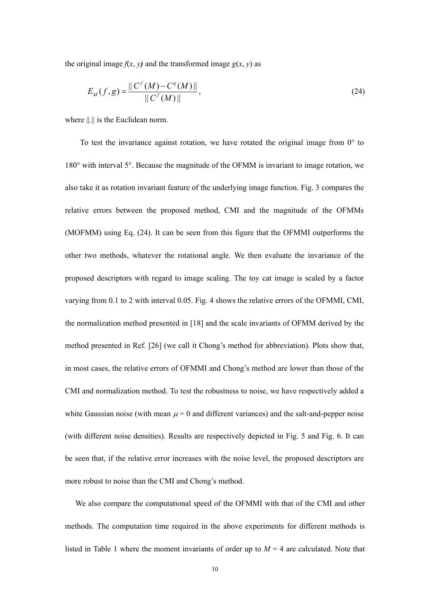the original image  $f(x, y)$  and the transformed image  $g(x, y)$  as

$$
E_M(f,g) = \frac{\|C^f(M) - C^g(M)\|}{\|C^f(M)\|},
$$
\n(24)

where  $\| \cdot \|$  is the Euclidean norm.

To test the invariance against rotation, we have rotated the original image from  $0^{\circ}$  to 180° with interval 5°. Because the magnitude of the OFMM is invariant to image rotation, we also take it as rotation invariant feature of the underlying image function. Fig. 3 compares the relative errors between the proposed method, CMI and the magnitude of the OFMMs (MOFMM) using Eq. (24). It can be seen from this figure that the OFMMI outperforms the other two methods, whatever the rotational angle. We then evaluate the invariance of the proposed descriptors with regard to image scaling. The toy cat image is scaled by a factor varying from 0.1 to 2 with interval 0.05. Fig. 4 shows the relative errors of the OFMMI, CMI, the normalization method presented in [18] and the scale invariants of OFMM derived by the method presented in Ref. [26] (we call it Chong's method for abbreviation). Plots show that, in most cases, the relative errors of OFMMI and Chong's method are lower than those of the CMI and normalization method. To test the robustness to noise, we have respectively added a white Gaussian noise (with mean  $\mu = 0$  and different variances) and the salt-and-pepper noise (with different noise densities). Results are respectively depicted in Fig. 5 and Fig. 6. It can be seen that, if the relative error increases with the noise level, the proposed descriptors are more robust to noise than the CMI and Chong's method.

We also compare the computational speed of the OFMMI with that of the CMI and other methods. The computation time required in the above experiments for different methods is listed in Table 1 where the moment invariants of order up to *M* = 4 are calculated. Note that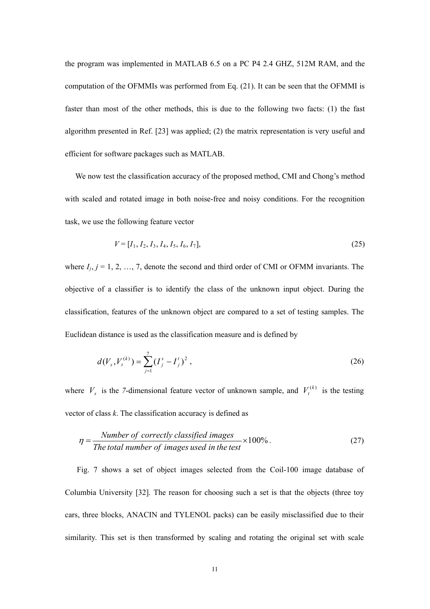the program was implemented in MATLAB 6.5 on a PC P4 2.4 GHZ, 512M RAM, and the computation of the OFMMIs was performed from Eq. (21). It can be seen that the OFMMI is faster than most of the other methods, this is due to the following two facts: (1) the fast algorithm presented in Ref. [23] was applied; (2) the matrix representation is very useful and efficient for software packages such as MATLAB.

We now test the classification accuracy of the proposed method, CMI and Chong's method with scaled and rotated image in both noise-free and noisy conditions. For the recognition task, we use the following feature vector

$$
V = [I_1, I_2, I_3, I_4, I_5, I_6, I_7],\tag{25}
$$

where  $I_i$ ,  $j = 1, 2, ..., 7$ , denote the second and third order of CMI or OFMM invariants. The objective of a classifier is to identify the class of the unknown input object. During the classification, features of the unknown object are compared to a set of testing samples. The Euclidean distance is used as the classification measure and is defined by

$$
d(V_s, V_t^{(k)}) = \sum_{j=1}^7 (I_j^s - I_j^t)^2,
$$
\n(26)

where  $V_s$  is the *7*-dimensional feature vector of unknown sample, and  $V_t^{(k)}$  is the testing vector of class *k*. The classification accuracy is defined as

$$
\eta = \frac{Number\ of\ correctly\ classified\ images}{The\ total\ number\ of\ images\ used\ in\ the\ test} \times 100\% \,. \tag{27}
$$

Fig. 7 shows a set of object images selected from the Coil-100 image database of Columbia University [32]. The reason for choosing such a set is that the objects (three toy cars, three blocks, ANACIN and TYLENOL packs) can be easily misclassified due to their similarity. This set is then transformed by scaling and rotating the original set with scale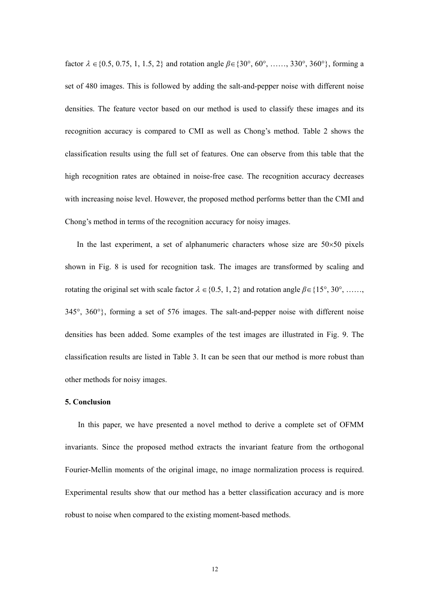factor  $\lambda \in \{0.5, 0.75, 1, 1.5, 2\}$  and rotation angle  $\beta \in \{30^{\circ}, 60^{\circ}, \dots, 330^{\circ}, 360^{\circ}\}\$ , forming a set of 480 images. This is followed by adding the salt-and-pepper noise with different noise densities. The feature vector based on our method is used to classify these images and its recognition accuracy is compared to CMI as well as Chong's method. Table 2 shows the classification results using the full set of features. One can observe from this table that the high recognition rates are obtained in noise-free case. The recognition accuracy decreases with increasing noise level. However, the proposed method performs better than the CMI and Chong's method in terms of the recognition accuracy for noisy images.

In the last experiment, a set of alphanumeric characters whose size are  $50\times50$  pixels shown in Fig. 8 is used for recognition task. The images are transformed by scaling and rotating the original set with scale factor  $\lambda \in \{0.5, 1, 2\}$  and rotation angle  $\beta \in \{15^\circ, 30^\circ, \dots \}$ 345°, 360°}, forming a set of 576 images. The salt-and-pepper noise with different noise densities has been added. Some examples of the test images are illustrated in Fig. 9. The classification results are listed in Table 3. It can be seen that our method is more robust than other methods for noisy images.

#### **5. Conclusion**

In this paper, we have presented a novel method to derive a complete set of OFMM invariants. Since the proposed method extracts the invariant feature from the orthogonal Fourier-Mellin moments of the original image, no image normalization process is required. Experimental results show that our method has a better classification accuracy and is more robust to noise when compared to the existing moment-based methods.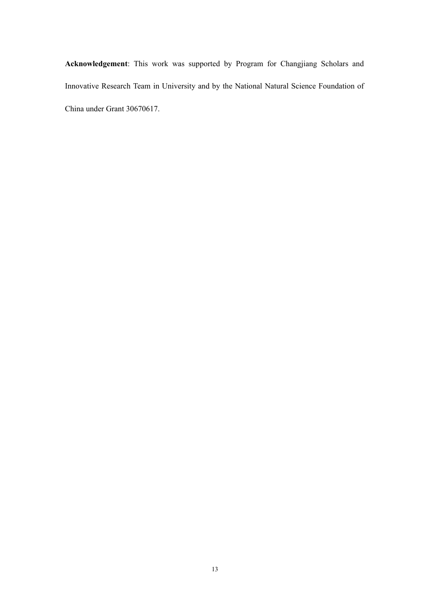**Acknowledgement**: This work was supported by Program for Changjiang Scholars and Innovative Research Team in University and by the National Natural Science Foundation of China under Grant 30670617.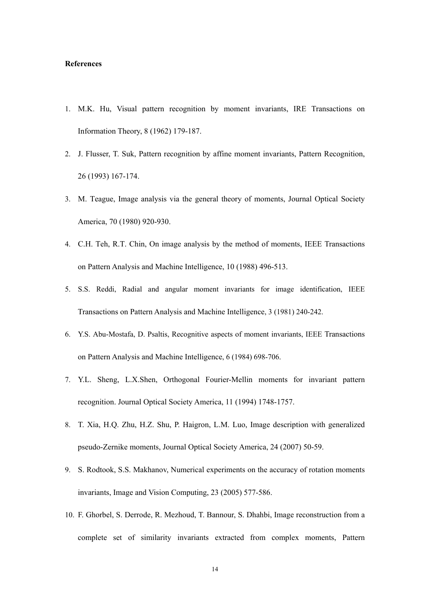### **References**

- 1. M.K. Hu, Visual pattern recognition by moment invariants, IRE Transactions on Information Theory, 8 (1962) 179-187.
- 2. J. Flusser, T. Suk, Pattern recognition by affine moment invariants, Pattern Recognition, 26 (1993) 167-174.
- 3. M. Teague, Image analysis via the general theory of moments, Journal Optical Society America, 70 (1980) 920-930.
- 4. C.H. Teh, R.T. Chin, On image analysis by the method of moments, IEEE Transactions on Pattern Analysis and Machine Intelligence, 10 (1988) 496-513.
- 5. S.S. Reddi, Radial and angular moment invariants for image identification, IEEE Transactions on Pattern Analysis and Machine Intelligence, 3 (1981) 240-242.
- 6. Y.S. Abu-Mostafa, D. Psaltis, Recognitive aspects of moment invariants, IEEE Transactions on Pattern Analysis and Machine Intelligence, 6 (1984) 698-706.
- 7. Y.L. Sheng, L.X.Shen, Orthogonal Fourier-Mellin moments for invariant pattern recognition. Journal Optical Society America, 11 (1994) 1748-1757.
- 8. T. Xia, H.Q. Zhu, H.Z. Shu, P. Haigron, L.M. Luo, Image description with generalized pseudo-Zernike moments, Journal Optical Society America, 24 (2007) 50-59.
- 9. S. Rodtook, S.S. Makhanov, Numerical experiments on the accuracy of rotation moments invariants, Image and Vision Computing, 23 (2005) 577-586.
- 10. F. Ghorbel, S. Derrode, R. Mezhoud, T. Bannour, S. Dhahbi, Image reconstruction from a complete set of similarity invariants extracted from complex moments, Pattern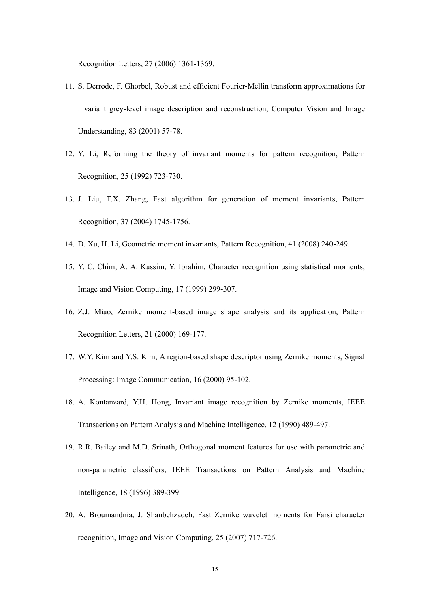Recognition Letters, 27 (2006) 1361-1369.

- 11. S. Derrode, F. Ghorbel, Robust and efficient Fourier-Mellin transform approximations for invariant grey-level image description and reconstruction, Computer Vision and Image Understanding, 83 (2001) 57-78.
- 12. Y. Li, Reforming the theory of invariant moments for pattern recognition, Pattern Recognition, 25 (1992) 723-730.
- 13. J. Liu, T.X. Zhang, Fast algorithm for generation of moment invariants, Pattern Recognition, 37 (2004) 1745-1756.
- 14. D. Xu, H. Li, Geometric moment invariants, Pattern Recognition, 41 (2008) 240-249.
- 15. Y. C. Chim, A. A. Kassim, Y. Ibrahim, Character recognition using statistical moments, Image and Vision Computing, 17 (1999) 299-307.
- 16. Z.J. Miao, Zernike moment-based image shape analysis and its application, Pattern Recognition Letters, 21 (2000) 169-177.
- 17. W.Y. Kim and Y.S. Kim, A region-based shape descriptor using Zernike moments, Signal Processing: Image Communication, 16 (2000) 95-102.
- 18. A. Kontanzard, Y.H. Hong, Invariant image recognition by Zernike moments, IEEE Transactions on Pattern Analysis and Machine Intelligence, 12 (1990) 489-497.
- 19. R.R. Bailey and M.D. Srinath, Orthogonal moment features for use with parametric and non-parametric classifiers, IEEE Transactions on Pattern Analysis and Machine Intelligence, 18 (1996) 389-399.
- 20. A. Broumandnia, J. Shanbehzadeh, Fast Zernike wavelet moments for Farsi character recognition, Image and Vision Computing, 25 (2007) 717-726.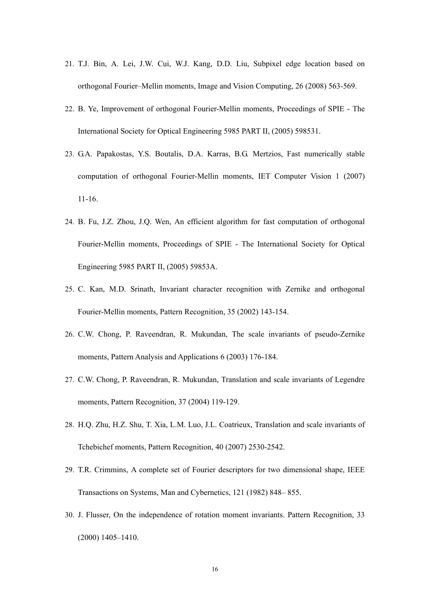- 21. T.J. Bin, A. Lei, J.W. Cui, W.J. Kang, D.D. Liu, Subpixel edge location based on orthogonal Fourier–Mellin moments, Image and Vision Computing, 26 (2008) 563-569.
- 22. B. Ye, Improvement of orthogonal Fourier-Mellin moments, Proceedings of SPIE The International Society for Optical Engineering 5985 PART II, (2005) 598531.
- 23. G.A. Papakostas, Y.S. Boutalis, D.A. Karras, B.G. Mertzios, Fast numerically stable computation of orthogonal Fourier-Mellin moments, IET Computer Vision 1 (2007) 11-16.
- 24. B. Fu, J.Z. Zhou, J.Q. Wen, An efficient algorithm for fast computation of orthogonal Fourier-Mellin moments, Proceedings of SPIE - The International Society for Optical Engineering 5985 PART II, (2005) 59853A.
- 25. C. Kan, M.D. Srinath, Invariant character recognition with Zernike and orthogonal Fourier-Mellin moments, Pattern Recognition, 35 (2002) 143-154.
- 26. C.W. Chong, P. Raveendran, R. Mukundan, The scale invariants of pseudo-Zernike moments, Pattern Analysis and Applications 6 (2003) 176-184.
- 27. C.W. Chong, P. Raveendran, R. Mukundan, Translation and scale invariants of Legendre moments, Pattern Recognition, 37 (2004) 119-129.
- 28. H.Q. Zhu, H.Z. Shu, T. Xia, L.M. Luo, J.L. Coatrieux, Translation and scale invariants of Tchebichef moments, Pattern Recognition, 40 (2007) 2530-2542.
- 29. T.R. Crimmins, A complete set of Fourier descriptors for two dimensional shape, IEEE Transactions on Systems, Man and Cybernetics, 121 (1982) 848– 855.
- 30. J. Flusser, On the independence of rotation moment invariants. Pattern Recognition, 33 (2000) 1405–1410.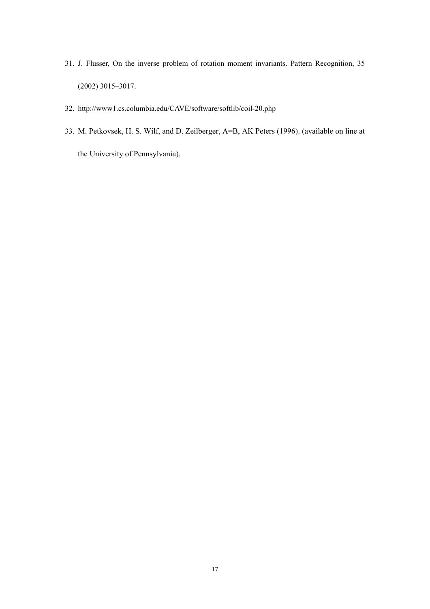- 31. J. Flusser, On the inverse problem of rotation moment invariants. Pattern Recognition, 35 (2002) 3015–3017.
- 32. http://www1.cs.columbia.edu/CAVE/software/softlib/coil-20.php
- 33. M. Petkovsek, H. S. Wilf, and D. Zeilberger, A=B, AK Peters (1996). (available on line at the University of Pennsylvania).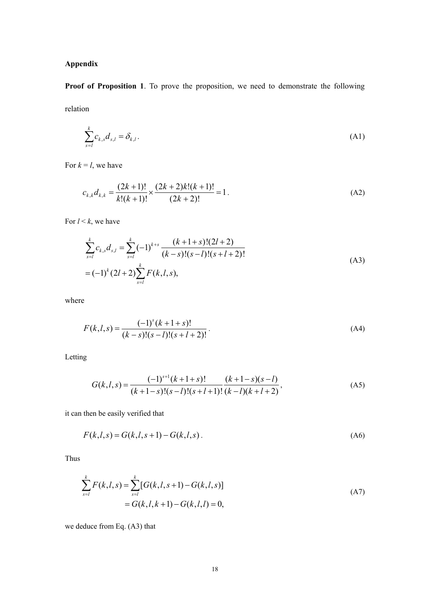## **Appendix**

**Proof of Proposition 1**. To prove the proposition, we need to demonstrate the following relation

$$
\sum_{s=l}^{k} c_{k,s} d_{s,l} = \delta_{k,l}.
$$
 (A1)

For  $k = l$ , we have

$$
c_{k,k}d_{k,k} = \frac{(2k+1)!}{k!(k+1)!} \times \frac{(2k+2)k!(k+1)!}{(2k+2)!} = 1.
$$
 (A2)

For  $l < k$ , we have

$$
\sum_{s=l}^{k} c_{k,s} d_{s,l} = \sum_{s=l}^{k} (-1)^{k+s} \frac{(k+1+s)!(2l+2)}{(k-s)!(s-l)!(s+l+2)!}
$$
\n
$$
=(-1)^{k} (2l+2) \sum_{s=l}^{k} F(k,l,s), \tag{A3}
$$

where

$$
F(k, l, s) = \frac{(-1)^{s} (k + 1 + s)!}{(k - s)!(s - l)!(s + l + 2)!}.
$$
\n(A4)

Letting

$$
G(k, l, s) = \frac{(-1)^{s+l} (k + 1 + s)!}{(k + 1 - s)!(s - l)!(s + l + 1)!} \frac{(k + 1 - s)(s - l)}{(k - l)(k + l + 2)},
$$
(A5)

it can then be easily verified that

$$
F(k, l, s) = G(k, l, s + 1) - G(k, l, s).
$$
 (A6)

Thus

$$
\sum_{s=l}^{k} F(k, l, s) = \sum_{s=l}^{k} [G(k, l, s+1) - G(k, l, s)]
$$
\n
$$
= G(k, l, k+1) - G(k, l, l) = 0,
$$
\n(A7)

we deduce from Eq. (A3) that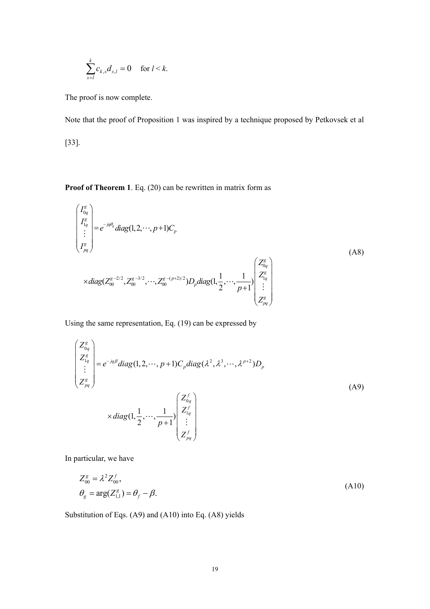$$
\sum_{s=l}^k c_{k,s} d_{s,l} = 0 \quad \text{ for } l < k.
$$

The proof is now complete.

Note that the proof of Proposition 1 was inspired by a technique proposed by Petkovsek et al [33].

**Proof of Theorem 1**. Eq. (20) can be rewritten in matrix form as

$$
\begin{pmatrix}\nI_{0q}^{g} \\
I_{1q}^{g} \\
\vdots \\
I_{pq}^{g}\n\end{pmatrix} = e^{-jq\theta_{g}} diag(1, 2, \cdots, p+1) C_{p}
$$
\n
$$
\times diag(Z_{00}^{g-2/2}, Z_{00}^{g-3/2}, \cdots, Z_{00}^{g-(p+2)/2}) D_{p} diag(1, \frac{1}{2}, \cdots, \frac{1}{p+1}) \begin{pmatrix}\nZ_{0q}^{g} \\
Z_{1q}^{g} \\
\vdots \\
Z_{pq}^{g}\n\end{pmatrix}
$$
\n(A8)

Using the same representation, Eq. (19) can be expressed by

$$
\begin{pmatrix}\nZ_{0q}^g \\
Z_{1q}^g \\
\vdots \\
Z_{pq}^g\n\end{pmatrix} = e^{-jq\beta} diag(1, 2, \cdots, p+1) C_p diag(\lambda^2, \lambda^3, \cdots, \lambda^{p+2}) D_p
$$
\n
$$
\times diag(1, \frac{1}{2}, \cdots, \frac{1}{p+1}) \begin{pmatrix}\nZ_{0q}^f \\
Z_{1q}^f \\
\vdots \\
Z_{pq}^f\n\end{pmatrix}
$$
\n(A9)

In particular, we have

$$
Z_{00}^g = \lambda^2 Z_{00}^f,
$$
  
\n
$$
\theta_g = \arg(Z_{1,1}^g) = \theta_f - \beta.
$$
\n(A10)

Substitution of Eqs. (A9) and (A10) into Eq. (A8) yields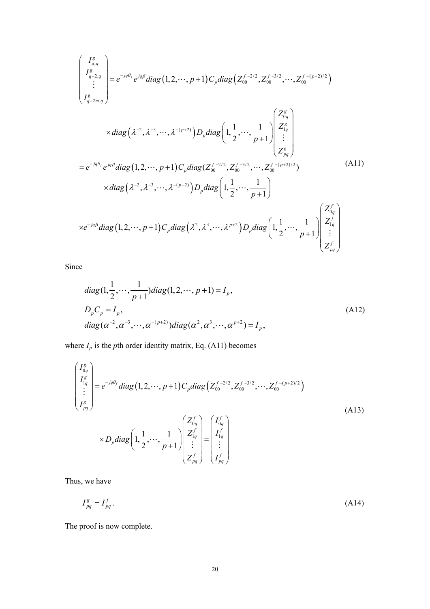$$
\begin{pmatrix}\nI_{g,q}^{g} \\
I_{q+2,q}^{g} \\
\vdots \\
I_{q+2m,q}^{g}\n\end{pmatrix} = e^{-jq\theta_{f}} e^{jq\beta} diag(1,2,\dots,p+1) C_{p} diag\Big(Z_{00}^{f-2/2},Z_{00}^{f-3/2},\dots,Z_{00}^{f-(p+2)/2}\Big)
$$
\n
$$
\times diag\Big(\lambda^{-2},\lambda^{-3},\dots,\lambda^{-(p+2)}\Big) D_{p} diag\Big(1,\frac{1}{2},\dots,\frac{1}{p+1}\Big) \begin{pmatrix}\nZ_{0q}^{g} \\
Z_{1q}^{g} \\
\vdots \\
Z_{pq}^{g}\n\end{pmatrix}
$$
\n
$$
= e^{-jq\theta_{f}} e^{jq\beta} diag(1,2,\dots,p+1) C_{p} diag\Big(Z_{00}^{f-2/2},Z_{00}^{f-3/2},\dots,Z_{00}^{f-(p+2)/2}\Big)
$$
\n
$$
\times diag\Big(\lambda^{-2},\lambda^{-3},\dots,\lambda^{-(p+2)}\Big) D_{p} diag\Big(1,\frac{1}{2},\dots,\frac{1}{p+1}\Big)
$$
\n
$$
\times e^{-jq\beta} diag(1,2,\dots,p+1) C_{p} diag\Big(\lambda^{2},\lambda^{3},\dots,\lambda^{p+2}\Big) D_{p} diag\Big(1,\frac{1}{2},\dots,\frac{1}{p+1}\Big) \begin{pmatrix}\nZ_{0q}^{f} \\
Z_{1q}^{f} \\
\vdots \\
Z_{pq}^{f}\n\end{pmatrix}
$$
\n(A11)

Since

diag(1, 
$$
\frac{1}{2}
$$
,...,  $\frac{1}{p+1}$ )diag(1, 2,..., p+1) =  $I_p$ ,  
\n $D_p C_p = I_p$ ,  
\ndiag( $\alpha^{-2}$ ,  $\alpha^{-3}$ ,...,  $\alpha^{-(p+2)}$ )diag( $\alpha^2$ ,  $\alpha^3$ ,...,  $\alpha^{p+2}$ ) =  $I_p$ , (A12)

where  $I_p$  is the *p*th order identity matrix, Eq. (A11) becomes

$$
\begin{pmatrix}\nI_{0q}^g \\
I_{1q}^g \\
\vdots \\
I_{pq}^g\n\end{pmatrix} = e^{-jq\theta_f} diag(1, 2, \cdots, p+1) C_p diag\left(Z_{00}^{f-2/2}, Z_{00}^{f-3/2}, \cdots, Z_{00}^{f-(p+2)/2}\right)
$$
\n
$$
\times D_p diag\left(1, \frac{1}{2}, \cdots, \frac{1}{p+1}\right) \begin{pmatrix}\nZ_{0q}^f \\
Z_{1q}^f \\
\vdots \\
Z_{pq}^f\n\end{pmatrix} = \begin{pmatrix}\nI_{0q}^f \\
I_{1q}^f \\
\vdots \\
I_{pq}^f\n\end{pmatrix}
$$
\n(A13)

Thus, we have

$$
I_{pq}^g = I_{pq}^f \tag{A14}
$$

The proof is now complete.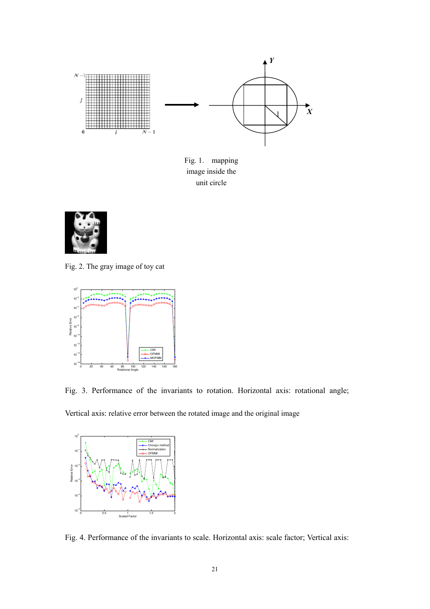

Fig. 1. mapping image inside the unit circle



Fig. 2. The gray image of toy cat



Fig. 3. Performance of the invariants to rotation. Horizontal axis: rotational angle;

Vertical axis: relative error between the rotated image and the original image



Fig. 4. Performance of the invariants to scale. Horizontal axis: scale factor; Vertical axis: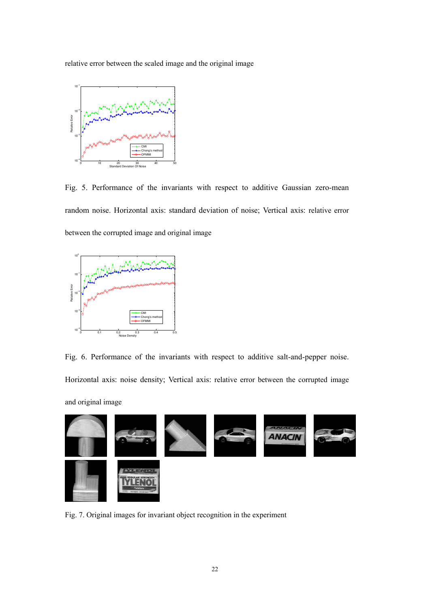relative error between the scaled image and the original image



Fig. 5. Performance of the invariants with respect to additive Gaussian zero-mean random noise. Horizontal axis: standard deviation of noise; Vertical axis: relative error between the corrupted image and original image



Fig. 6. Performance of the invariants with respect to additive salt-and-pepper noise. Horizontal axis: noise density; Vertical axis: relative error between the corrupted image

and original image



Fig. 7. Original images for invariant object recognition in the experiment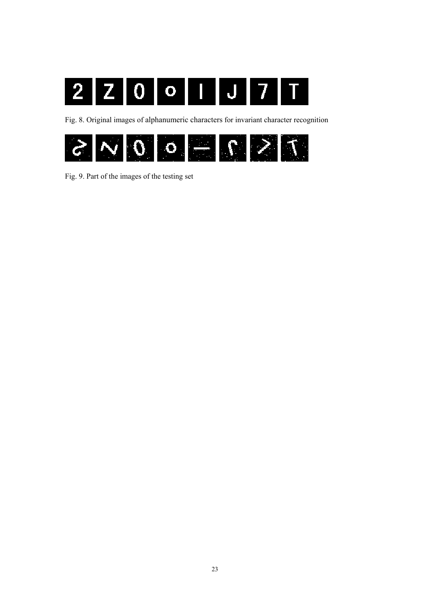

Fig. 8. Original images of alphanumeric characters for invariant character recognition



Fig. 9. Part of the images of the testing set